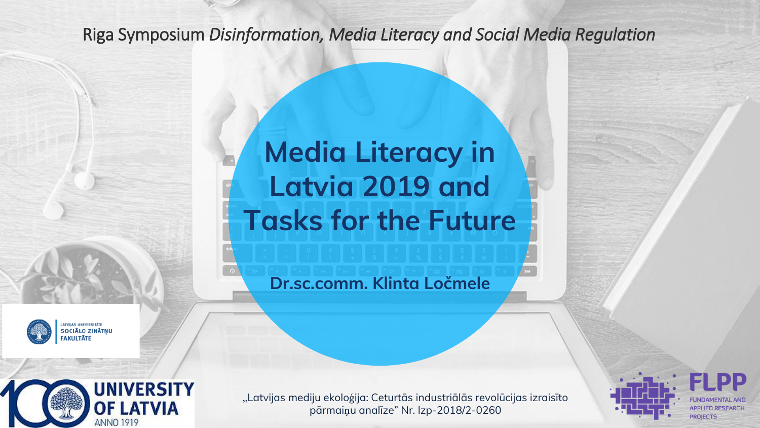#### Riga Symposium *Disinformation, Media Literacy and Social Media Regulation*

# **Media Literacy in Latvia 2019 and Tasks for the Future**

**Dr.sc.comm. Klinta Ločmele**





**NIVERSITY** 

OF LATVIA

ANNO 1919



"Latvijas mediju ekoloģija: Ceturtās industriālās revolūcijas izraisīto pārmaiņu analīze" Nr. lzp-2018/2-0260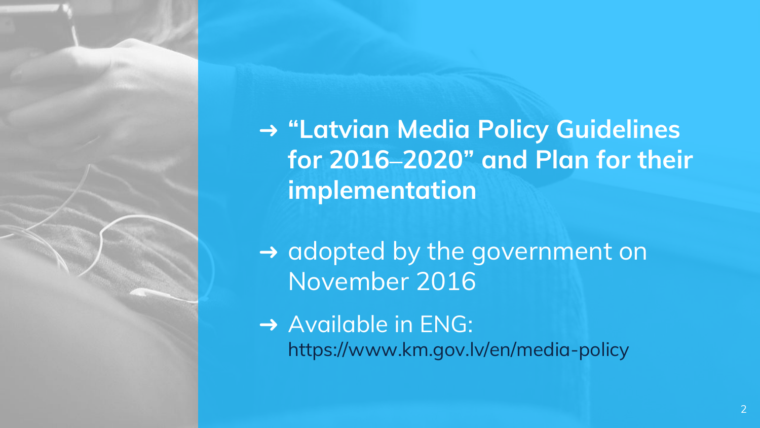➜ **"Latvian Media Policy Guidelines for 2016–2020" and Plan for their implementation** 

→ adopted by the government on November 2016

**→ Available in ENG:** https://www.km.gov.lv/en/media-policy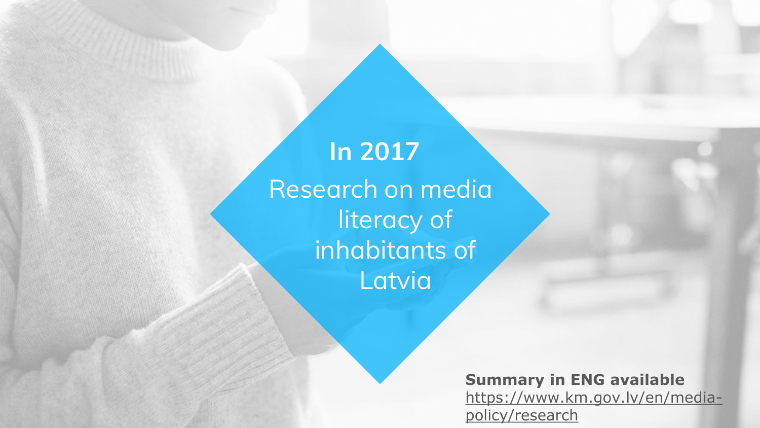## Research on media literacy of inhabitants of Latvia **In 2017**

**Summary in ENG available** https://www.km.gov.lv/en/mediapolicy/research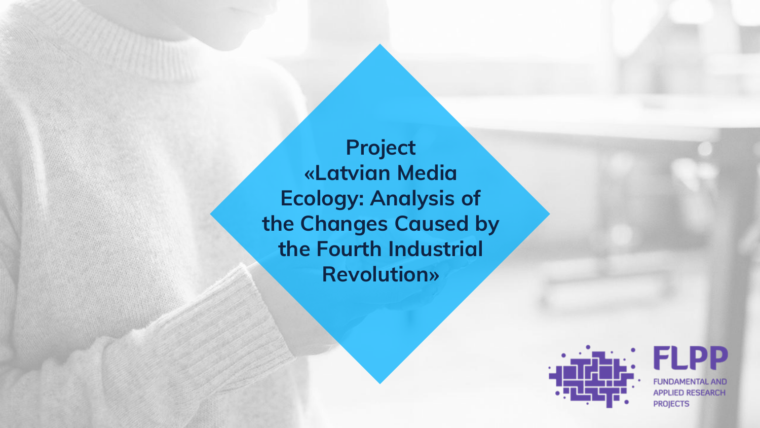**Project «Latvian Media Ecology: Analysis of the Changes Caused by the Fourth Industrial Revolution»**



**FLPP FUNDAMENTAL AND APPLIED RESEARCH PROJECTS**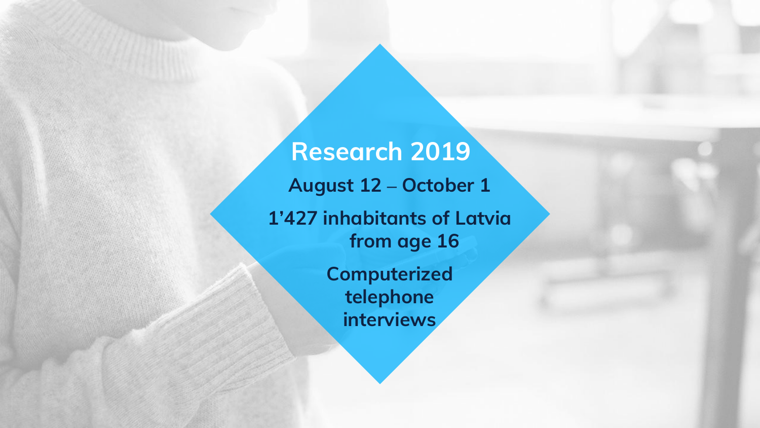**August 12 – October 1 1'427 inhabitants of Latvia from age 16 Computerized telephone interviews Research 2019**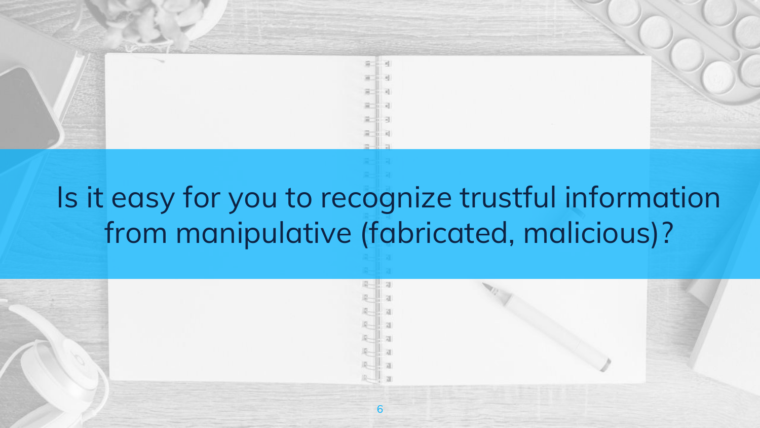

# Is it easy for you to recognize trustful information from manipulative (fabricated, malicious)?

6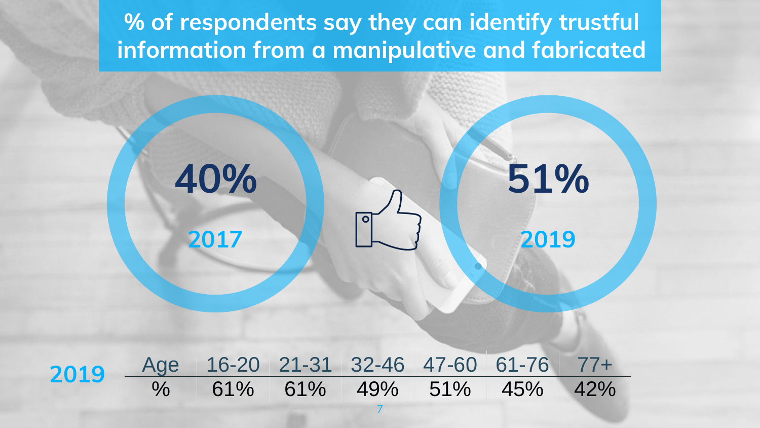**% of respondents say they can identify trustful information from a manipulative and fabricated**

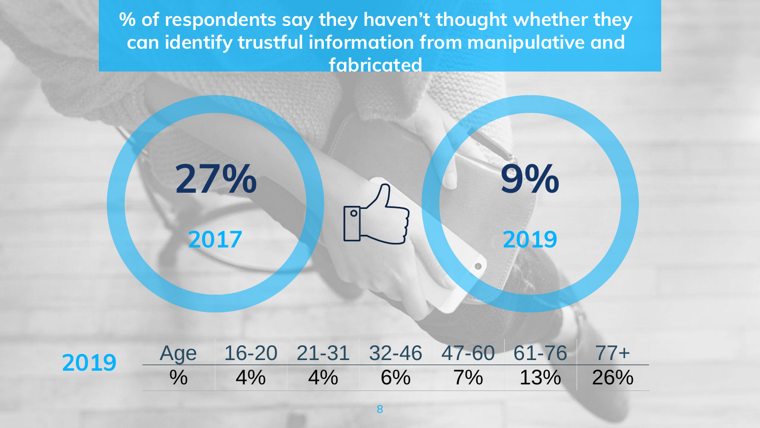**% of respondents say they haven't thought whether they can identify trustful information from manipulative and fabricated**

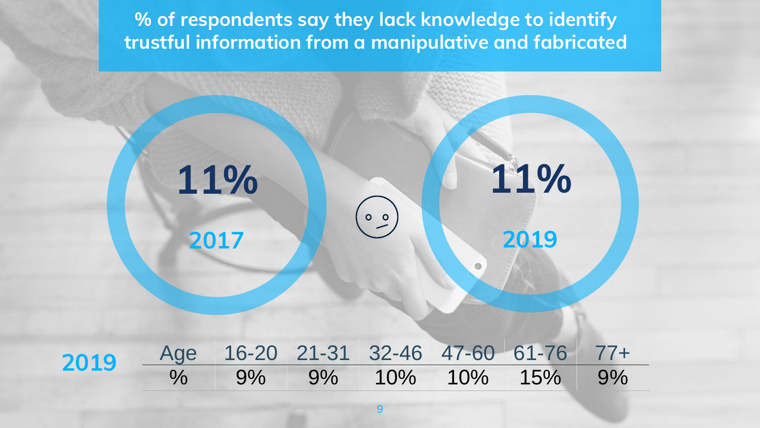**% of respondents say they lack knowledge to identify trustful information from a manipulative and fabricated**

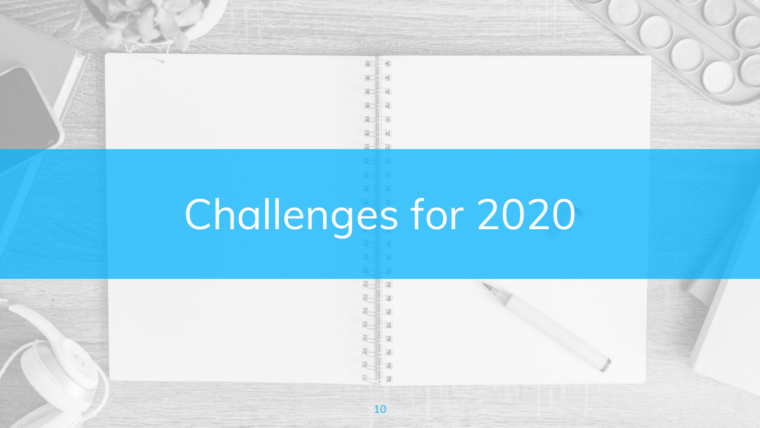# Challenges for 2020

 $\approx$  $\mathbb{R}^2$ 

第二 进

ia- $\overline{d}$ 

a-l  $\overline{a}$ 

10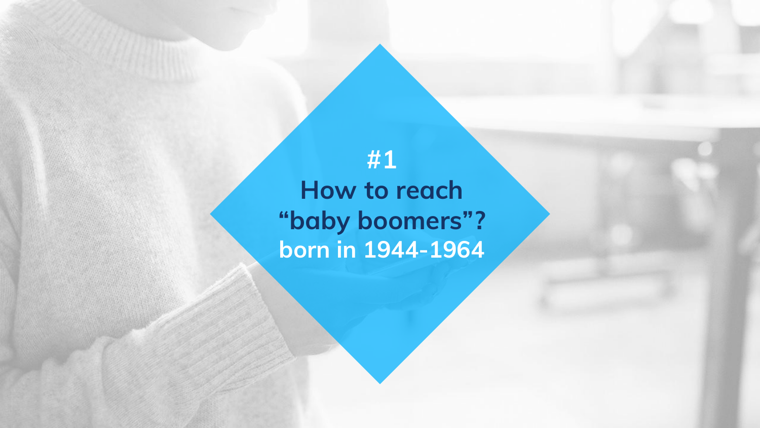**#1 How to reach "baby boomers"? born in 1944-1964**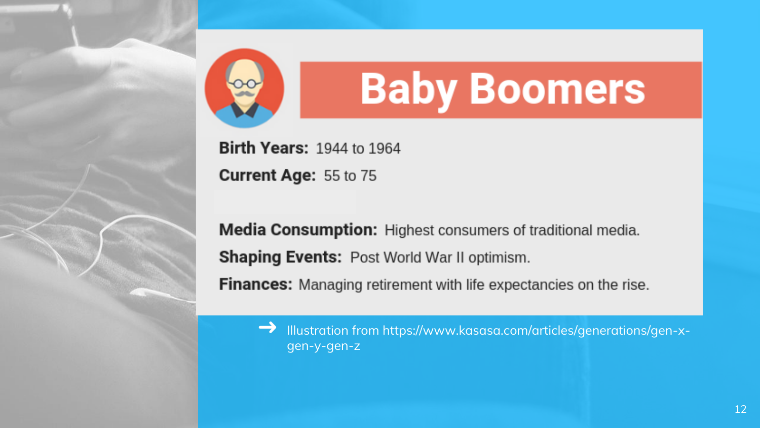

# **Baby Boomers**

**Birth Years: 1944 to 1964 Current Age: 55 to 75** 

**Media Consumption:** Highest consumers of traditional media. **Shaping Events: Post World War II optimism.** 

**Finances:** Managing retirement with life expectancies on the rise.

➜ Illustration from https://www.kasasa.com/articles/generations/gen-xgen-y-gen-z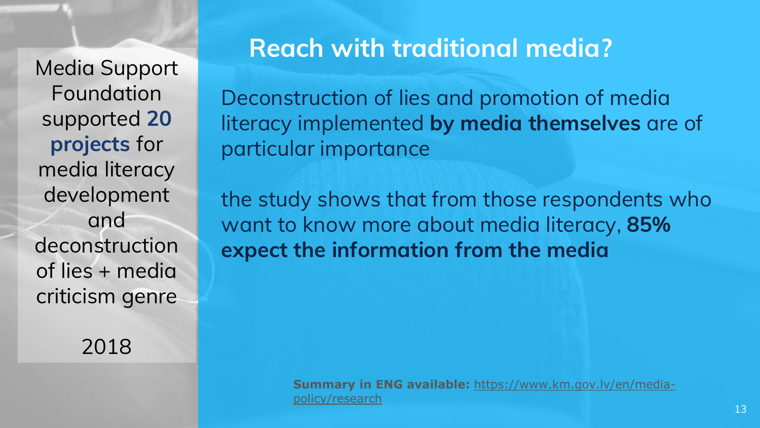Media Support Foundation supported **20 projects** for media literacy development and deconstruction of lies + media criticism genre

2018

### **Reach with traditional media?**

Deconstruction of lies and promotion of media literacy implemented **by media themselves** are of particular importance

the study shows that from those respondents who want to know more about media literacy, **85% expect the information from the media**

> **Summary in ENG available:** https://www.km.gov.lv/en/mediapolicy/research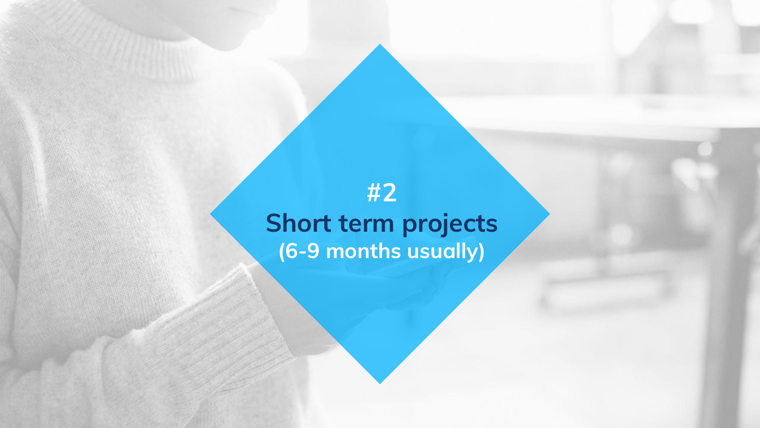## **#2 Short term projects (6-9 months usually)**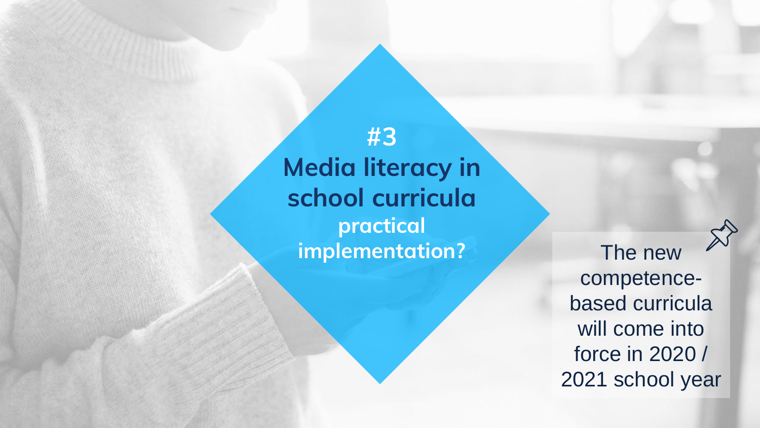**#3 Media literacy in school curricula practical implementation?** The new

competencebased curricula will come into force in 2020 / 2021 school year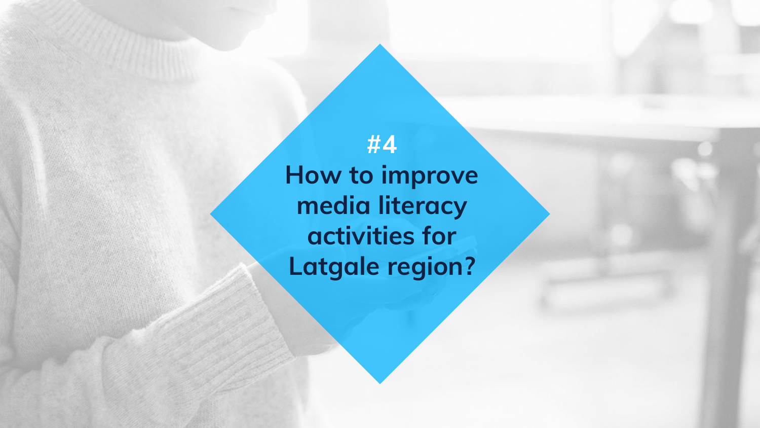**#4 How to improve media literacy activities for Latgale region?**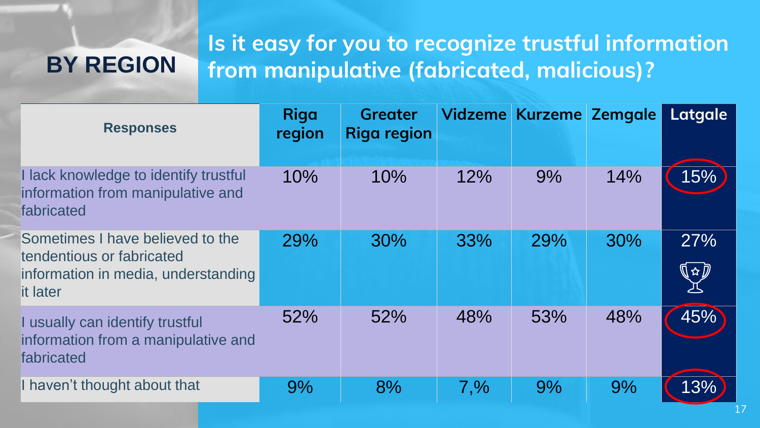## **BY REGION**

#### **Is it easy for you to recognize trustful information from manipulative (fabricated, malicious)?**

| <b>Responses</b>                                                                                                 | <b>Riga</b><br>region | <b>Greater</b><br><b>Riga region</b> |         | Vidzeme Kurzeme Zemgale |     | Latgale              |
|------------------------------------------------------------------------------------------------------------------|-----------------------|--------------------------------------|---------|-------------------------|-----|----------------------|
| I lack knowledge to identify trustful<br>information from manipulative and<br>fabricated                         | 10%                   | 10%                                  | 12%     | 9%                      | 14% | 15%                  |
| Sometimes I have believed to the<br>tendentious or fabricated<br>information in media, understanding<br>it later | 29%                   | 30%                                  | 33%     | 29%                     | 30% | 27%<br>∏ ☆ $\bar{U}$ |
| I usually can identify trustful<br>information from a manipulative and<br>fabricated                             | 52%                   | 52%                                  | 48%     | 53%                     | 48% | 45%                  |
| I haven't thought about that                                                                                     | 9%                    | 8%                                   | $7, \%$ | 9%                      | 9%  | 13%                  |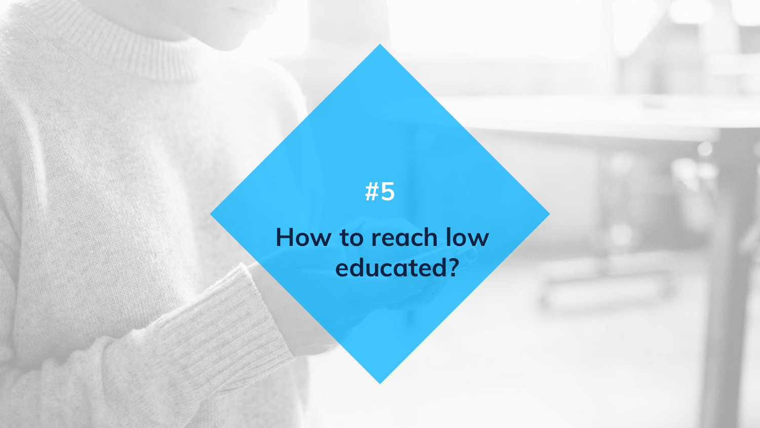

# **How to reach low educated?**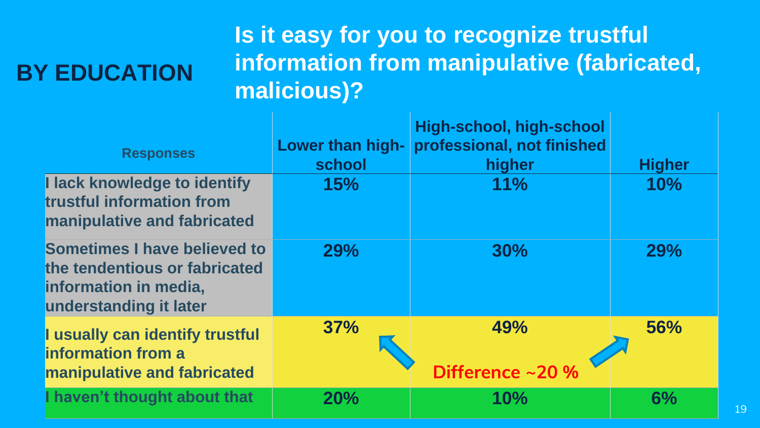## **BY EDUCATION**

## **Is it easy for you to recognize trustful information from manipulative (fabricated, malicious)?**

| <b>Responses</b>                                                                                                        | Lower than high-<br>school | High-school, high-school<br>professional, not finished<br>higher | <b>Higher</b> |
|-------------------------------------------------------------------------------------------------------------------------|----------------------------|------------------------------------------------------------------|---------------|
| I lack knowledge to identify<br>trustful information from<br>manipulative and fabricated                                | 15%                        | 11%                                                              | 10%           |
| <b>Sometimes I have believed to</b><br>the tendentious or fabricated<br>information in media,<br>understanding it later | 29%                        | 30%                                                              | <b>29%</b>    |
| I usually can identify trustful<br><b>information from a</b><br><b>manipulative and fabricated</b>                      | 37%                        | 49%<br>Difference ~20 %                                          | 56%           |
| I haven't thought about that                                                                                            | 20%                        | 10%                                                              | 6%            |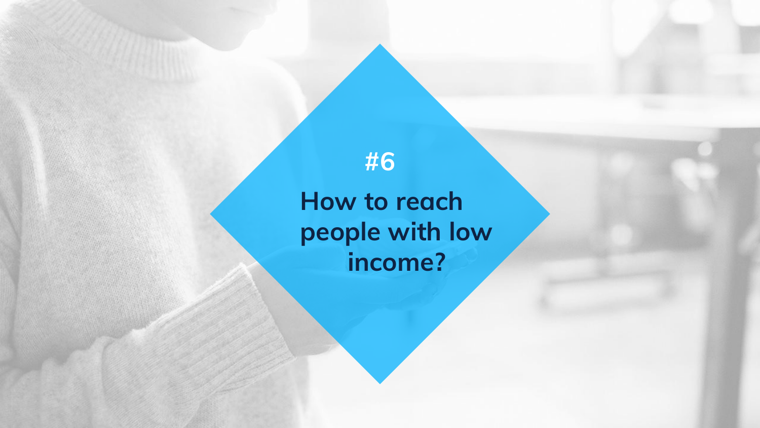**How to reach people with low income?**

**#6**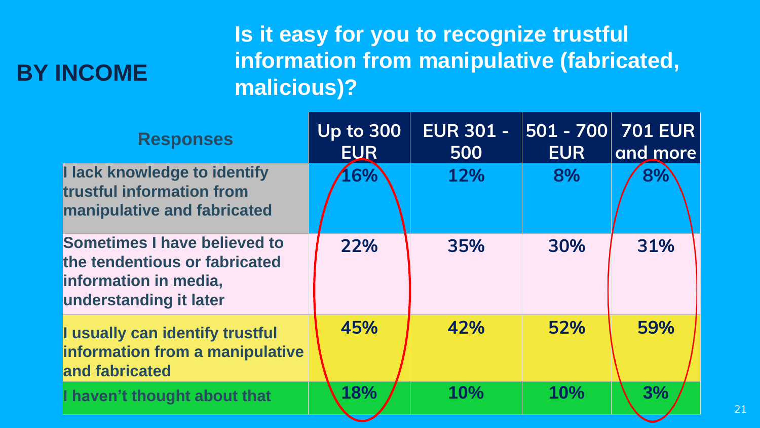## **BY INCOME**

### **Is it easy for you to recognize trustful information from manipulative (fabricated, malicious)?**

| <b>Responses</b>                                                                                                        | <b>Up to 300</b><br><b>EUR</b> | <b>EUR 301 -</b><br>500 | 501 - 700 <br><b>EUR</b> | <b>701 EUR</b><br>and more |
|-------------------------------------------------------------------------------------------------------------------------|--------------------------------|-------------------------|--------------------------|----------------------------|
| I lack knowledge to identify<br>trustful information from<br>manipulative and fabricated                                | .6%                            | 12%                     | 8%                       | 8%                         |
| <b>Sometimes I have believed to</b><br>the tendentious or fabricated<br>information in media,<br>understanding it later | 22%                            | 35%                     | 30%                      | 31%                        |
| I usually can identify trustful<br>information from a manipulative<br>and fabricated                                    | 45%                            | 42%                     | 52%                      | 59%                        |
| I haven't thought about that                                                                                            | 18%                            | 10%                     | 10%                      | 3%                         |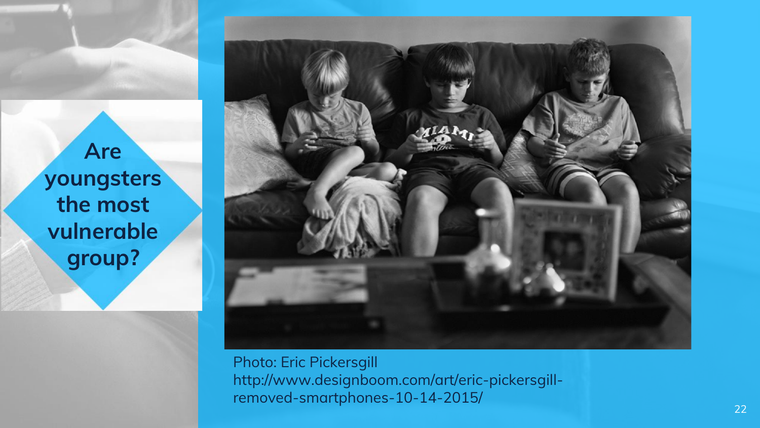**Are youngsters the most vulnerable group?**



Photo: Eric Pickersgill http://www.designboom.com/art/eric-pickersgillremoved-smartphones-10-14-2015/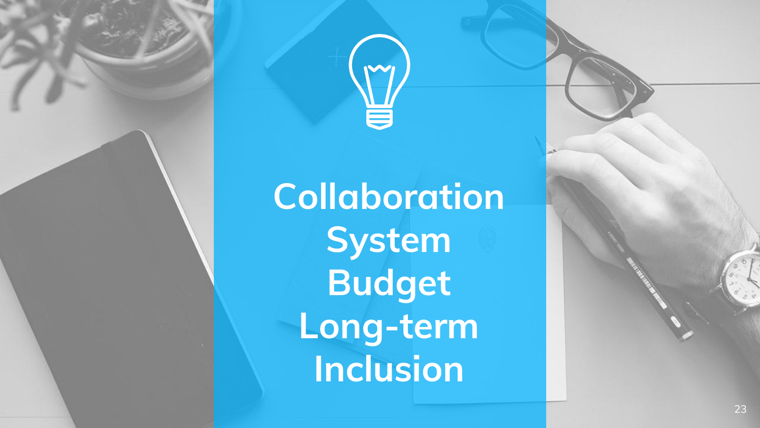**Collaboration System Budget Long -term Inclusion**